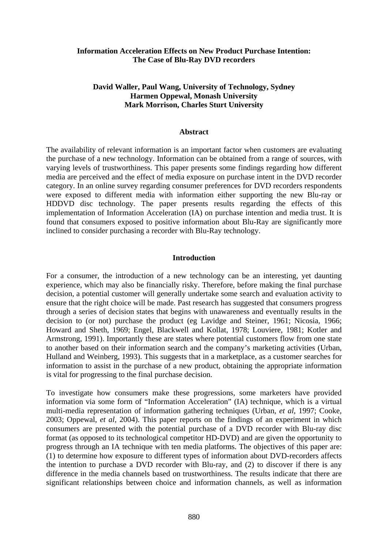# **Information Acceleration Effects on New Product Purchase Intention: The Case of Blu-Ray DVD recorders**

# **David Waller, Paul Wang, University of Technology, Sydney Harmen Oppewal, Monash University Mark Morrison, Charles Sturt University**

#### **Abstract**

The availability of relevant information is an important factor when customers are evaluating the purchase of a new technology. Information can be obtained from a range of sources, with varying levels of trustworthiness. This paper presents some findings regarding how different media are perceived and the effect of media exposure on purchase intent in the DVD recorder category. In an online survey regarding consumer preferences for DVD recorders respondents were exposed to different media with information either supporting the new Blu-ray or HDDVD disc technology. The paper presents results regarding the effects of this implementation of Information Acceleration (IA) on purchase intention and media trust. It is found that consumers exposed to positive information about Blu-Ray are significantly more inclined to consider purchasing a recorder with Blu-Ray technology.

## **Introduction**

For a consumer, the introduction of a new technology can be an interesting, yet daunting experience, which may also be financially risky. Therefore, before making the final purchase decision, a potential customer will generally undertake some search and evaluation activity to ensure that the right choice will be made. Past research has suggested that consumers progress through a series of decision states that begins with unawareness and eventually results in the decision to (or not) purchase the product (eg Lavidge and Steiner, 1961; Nicosia, 1966; Howard and Sheth, 1969; Engel, Blackwell and Kollat, 1978; Louviere, 1981; Kotler and Armstrong, 1991). Importantly these are states where potential customers flow from one state to another based on their information search and the company's marketing activities (Urban, Hulland and Weinberg, 1993). This suggests that in a marketplace, as a customer searches for information to assist in the purchase of a new product, obtaining the appropriate information is vital for progressing to the final purchase decision.

To investigate how consumers make these progressions, some marketers have provided information via some form of "Information Acceleration" (IA) technique, which is a virtual multi-media representation of information gathering techniques (Urban, *et al,* 1997; Cooke, 2003; Oppewal, *et al,* 2004). This paper reports on the findings of an experiment in which consumers are presented with the potential purchase of a DVD recorder with Blu-ray disc format (as opposed to its technological competitor HD-DVD) and are given the opportunity to progress through an IA technique with ten media platforms. The objectives of this paper are: (1) to determine how exposure to different types of information about DVD-recorders affects the intention to purchase a DVD recorder with Blu-ray, and (2) to discover if there is any difference in the media channels based on trustworthiness. The results indicate that there are significant relationships between choice and information channels, as well as information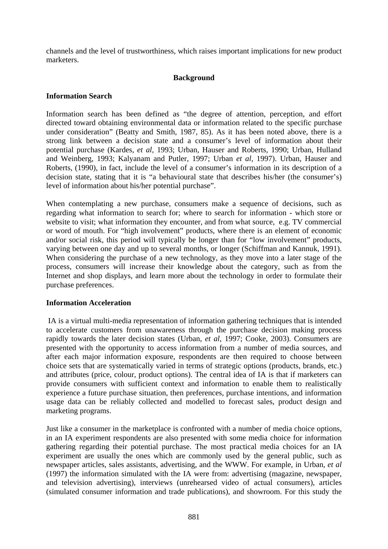channels and the level of trustworthiness, which raises important implications for new product marketers.

# **Background**

## **Information Search**

Information search has been defined as "the degree of attention, perception, and effort directed toward obtaining environmental data or information related to the specific purchase under consideration" (Beatty and Smith, 1987, 85). As it has been noted above, there is a strong link between a decision state and a consumer's level of information about their potential purchase (Kardes, *et al,* 1993; Urban, Hauser and Roberts, 1990; Urban, Hulland and Weinberg, 1993; Kalyanam and Putler, 1997; Urban *et al,* 1997). Urban, Hauser and Roberts, (1990), in fact, include the level of a consumer's information in its description of a decision state, stating that it is "a behavioural state that describes his/her (the consumer's) level of information about his/her potential purchase".

When contemplating a new purchase, consumers make a sequence of decisions, such as regarding what information to search for; where to search for information - which store or website to visit; what information they encounter, and from what source, e.g. TV commercial or word of mouth. For "high involvement" products, where there is an element of economic and/or social risk, this period will typically be longer than for "low involvement" products, varying between one day and up to several months, or longer (Schiffman and Kannuk, 1991). When considering the purchase of a new technology, as they move into a later stage of the process, consumers will increase their knowledge about the category, such as from the Internet and shop displays, and learn more about the technology in order to formulate their purchase preferences.

## **Information Acceleration**

 IA is a virtual multi-media representation of information gathering techniques that is intended to accelerate customers from unawareness through the purchase decision making process rapidly towards the later decision states (Urban, *et al,* 1997; Cooke, 2003). Consumers are presented with the opportunity to access information from a number of media sources, and after each major information exposure, respondents are then required to choose between choice sets that are systematically varied in terms of strategic options (products, brands, etc.) and attributes (price, colour, product options). The central idea of IA is that if marketers can provide consumers with sufficient context and information to enable them to realistically experience a future purchase situation, then preferences, purchase intentions, and information usage data can be reliably collected and modelled to forecast sales, product design and marketing programs.

Just like a consumer in the marketplace is confronted with a number of media choice options, in an IA experiment respondents are also presented with some media choice for information gathering regarding their potential purchase. The most practical media choices for an IA experiment are usually the ones which are commonly used by the general public, such as newspaper articles, sales assistants, advertising, and the WWW. For example, in Urban*, et al* (1997) the information simulated with the IA were from: advertising (magazine, newspaper, and television advertising), interviews (unrehearsed video of actual consumers), articles (simulated consumer information and trade publications), and showroom. For this study the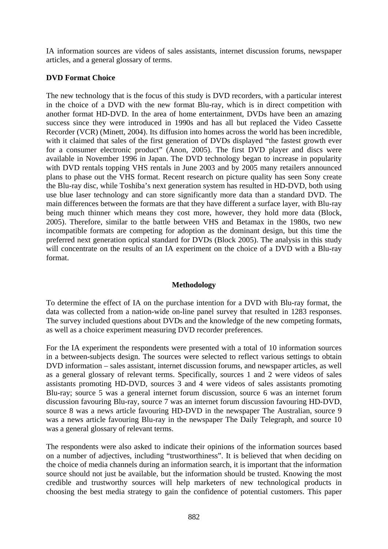IA information sources are videos of sales assistants, internet discussion forums, newspaper articles, and a general glossary of terms.

# **DVD Format Choice**

The new technology that is the focus of this study is DVD recorders, with a particular interest in the choice of a DVD with the new format Blu-ray, which is in direct competition with another format HD-DVD. In the area of home entertainment, DVDs have been an amazing success since they were introduced in 1990s and has all but replaced the Video Cassette Recorder (VCR) (Minett, 2004). Its diffusion into homes across the world has been incredible, with it claimed that sales of the first generation of DVDs displayed "the fastest growth ever for a consumer electronic product" (Anon, 2005). The first DVD player and discs were available in November 1996 in Japan. The DVD technology began to increase in popularity with DVD rentals topping VHS rentals in June 2003 and by 2005 many retailers announced plans to phase out the VHS format. Recent research on picture quality has seen Sony create the Blu-ray disc, while Toshiba's next generation system has resulted in HD-DVD, both using use blue laser technology and can store significantly more data than a standard DVD. The main differences between the formats are that they have different a surface layer, with Blu-ray being much thinner which means they cost more, however, they hold more data (Block, 2005). Therefore, similar to the battle between VHS and Betamax in the 1980s, two new incompatible formats are competing for adoption as the dominant design, but this time the preferred next generation optical standard for DVDs (Block 2005). The analysis in this study will concentrate on the results of an IA experiment on the choice of a DVD with a Blu-ray format.

# **Methodology**

To determine the effect of IA on the purchase intention for a DVD with Blu-ray format, the data was collected from a nation-wide on-line panel survey that resulted in 1283 responses. The survey included questions about DVDs and the knowledge of the new competing formats, as well as a choice experiment measuring DVD recorder preferences.

For the IA experiment the respondents were presented with a total of 10 information sources in a between-subjects design. The sources were selected to reflect various settings to obtain DVD information – sales assistant, internet discussion forums, and newspaper articles, as well as a general glossary of relevant terms. Specifically, sources 1 and 2 were videos of sales assistants promoting HD-DVD, sources 3 and 4 were videos of sales assistants promoting Blu-ray; source 5 was a general internet forum discussion, source 6 was an internet forum discussion favouring Blu-ray, source 7 was an internet forum discussion favouring HD-DVD, source 8 was a news article favouring HD-DVD in the newspaper The Australian, source 9 was a news article favouring Blu-ray in the newspaper The Daily Telegraph, and source 10 was a general glossary of relevant terms.

The respondents were also asked to indicate their opinions of the information sources based on a number of adjectives, including "trustworthiness". It is believed that when deciding on the choice of media channels during an information search, it is important that the information source should not just be available, but the information should be trusted. Knowing the most credible and trustworthy sources will help marketers of new technological products in choosing the best media strategy to gain the confidence of potential customers. This paper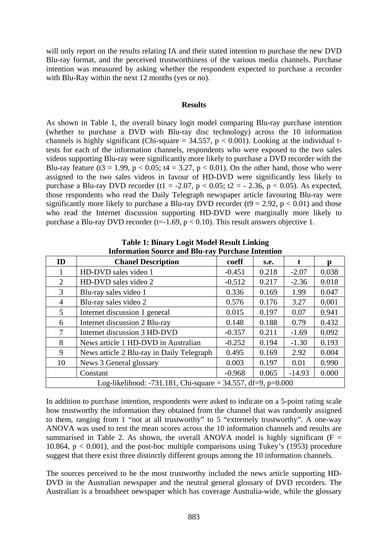will only report on the results relating IA and their stated intention to purchase the new DVD Blu-ray format, and the perceived trustworthiness of the various media channels. Purchase intention was measured by asking whether the respondent expected to purchase a recorder with Blu-Ray within the next 12 months (yes or no).

#### **Results**

As shown in Table 1, the overall binary logit model comparing Blu-ray purchase intention (whether to purchase a DVD with Blu-ray disc technology) across the 10 information channels is highly significant (Chi-square =  $34.557$ ,  $p < 0.001$ ). Looking at the individual ttests for each of the information channels, respondents who were exposed to the two sales videos supporting Blu-ray were significantly more likely to purchase a DVD recorder with the Blu-ray feature (t3 = 1.99, p < 0.05; t4 = 3.27, p < 0.01). On the other hand, those who were assigned to the two sales videos in favour of HD-DVD were significantly less likely to purchase a Blu-ray DVD recorder (t1 = -2.07,  $p < 0.05$ ; t2 = - 2.36,  $p < 0.05$ ). As expected, those respondents who read the Daily Telegraph newspaper article favouring Blu-ray were significantly more likely to purchase a Blu-ray DVD recorder (t9 = 2.92,  $p < 0.01$ ) and those who read the Internet discussion supporting HD-DVD were marginally more likely to purchase a Blu-ray DVD recorder (t=-1.69,  $p < 0.10$ ). This result answers objective 1.

| <b>Information Source and Blu-ray Purchase Intention</b>        |                                           |          |       |          |       |  |  |
|-----------------------------------------------------------------|-------------------------------------------|----------|-------|----------|-------|--|--|
| ID                                                              | <b>Chanel Description</b>                 | coeff    | s.e.  |          | p     |  |  |
|                                                                 | HD-DVD sales video 1                      | $-0.451$ | 0.218 | $-2.07$  | 0.038 |  |  |
| $\overline{2}$                                                  | HD-DVD sales video 2                      | $-0.512$ | 0.217 | $-2.36$  | 0.018 |  |  |
| 3                                                               | Blu-ray sales video 1                     | 0.336    | 0.169 | 1.99     | 0.047 |  |  |
| 4                                                               | Blu-ray sales video 2                     | 0.576    | 0.176 | 3.27     | 0.001 |  |  |
| $5^{\circ}$                                                     | Internet discussion 1 general             | 0.015    | 0.197 | 0.07     | 0.941 |  |  |
| 6                                                               | Internet discussion 2 Blu-ray             | 0.148    | 0.188 | 0.79     | 0.432 |  |  |
| 7                                                               | Internet discussion 3 HD-DVD              | $-0.357$ | 0.211 | $-1.69$  | 0.092 |  |  |
| 8                                                               | News article 1 HD-DVD in Australian       | $-0.252$ | 0.194 | $-1.30$  | 0.193 |  |  |
| 9                                                               | News article 2 Blu-ray in Daily Telegraph | 0.495    | 0.169 | 2.92     | 0.004 |  |  |
| 10                                                              | News 3 General glossary                   | 0.003    | 0.197 | 0.01     | 0.990 |  |  |
|                                                                 | Constant                                  | $-0.968$ | 0.065 | $-14.93$ | 0.000 |  |  |
| Log-likelihood: -731.181, Chi-square = $34.557$ , df=9, p=0.000 |                                           |          |       |          |       |  |  |

**Table 1: Binary Logit Model Result Linking** 

In addition to purchase intention, respondents were asked to indicate on a 5-point rating scale how trustworthy the information they obtained from the channel that was randomly assigned to them, ranging from 1 "not at all trustworthy" to 5 "extremely trustworthy". A one-way ANOVA was used to test the mean scores across the 10 information channels and results are summarised in Table 2. As shown, the overall ANOVA model is highly significant ( $F =$ 10.864,  $p < 0.001$ ), and the post-hoc multiple comparisons using Tukey's (1953) procedure suggest that there exist three distinctly different groups among the 10 information channels.

The sources perceived to be the most trustworthy included the news article supporting HD-DVD in the Australian newspaper and the neutral general glossary of DVD recorders. The Australian is a broadsheet newspaper which has coverage Australia-wide, while the glossary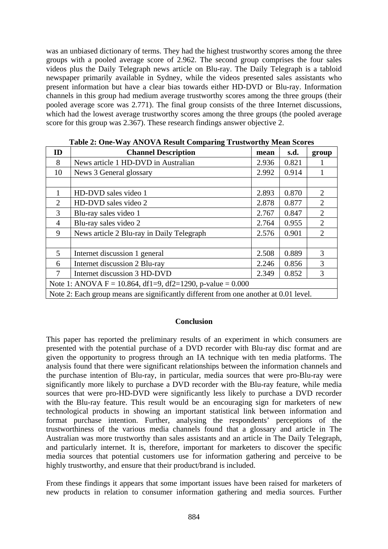was an unbiased dictionary of terms. They had the highest trustworthy scores among the three groups with a pooled average score of 2.962. The second group comprises the four sales videos plus the Daily Telegraph news article on Blu-ray. The Daily Telegraph is a tabloid newspaper primarily available in Sydney, while the videos presented sales assistants who present information but have a clear bias towards either HD-DVD or Blu-ray. Information channels in this group had medium average trustworthy scores among the three groups (their pooled average score was 2.771). The final group consists of the three Internet discussions, which had the lowest average trustworthy scores among the three groups (the pooled average score for this group was 2.367). These research findings answer objective 2.

| ID                                                                                   | <b>Channel Description</b>                | mean  | s.d.  | group          |  |  |  |
|--------------------------------------------------------------------------------------|-------------------------------------------|-------|-------|----------------|--|--|--|
| 8                                                                                    | News article 1 HD-DVD in Australian       | 2.936 | 0.821 |                |  |  |  |
| 10                                                                                   | News 3 General glossary                   | 2.992 | 0.914 |                |  |  |  |
|                                                                                      |                                           |       |       |                |  |  |  |
|                                                                                      | HD-DVD sales video 1                      | 2.893 | 0.870 | 2              |  |  |  |
| 2                                                                                    | HD-DVD sales video 2                      | 2.878 | 0.877 | $\overline{2}$ |  |  |  |
| 3                                                                                    | Blu-ray sales video 1                     | 2.767 | 0.847 | $\overline{2}$ |  |  |  |
| $\overline{4}$                                                                       | Blu-ray sales video 2                     | 2.764 | 0.955 | $\overline{2}$ |  |  |  |
| 9                                                                                    | News article 2 Blu-ray in Daily Telegraph | 2.576 | 0.901 | $\overline{2}$ |  |  |  |
|                                                                                      |                                           |       |       |                |  |  |  |
| 5                                                                                    | Internet discussion 1 general             | 2.508 | 0.889 | 3              |  |  |  |
| 6                                                                                    | Internet discussion 2 Blu-ray             | 2.246 | 0.856 | 3              |  |  |  |
| 7                                                                                    | Internet discussion 3 HD-DVD              | 2.349 | 0.852 | 3              |  |  |  |
| Note 1: ANOVA F = 10.864, df1=9, df2=1290, p-value = $0.000$                         |                                           |       |       |                |  |  |  |
| Note 2: Each group means are significantly different from one another at 0.01 level. |                                           |       |       |                |  |  |  |

**Table 2: One-Way ANOVA Result Comparing Trustworthy Mean Scores** 

### **Conclusion**

This paper has reported the preliminary results of an experiment in which consumers are presented with the potential purchase of a DVD recorder with Blu-ray disc format and are given the opportunity to progress through an IA technique with ten media platforms. The analysis found that there were significant relationships between the information channels and the purchase intention of Blu-ray, in particular, media sources that were pro-Blu-ray were significantly more likely to purchase a DVD recorder with the Blu-ray feature, while media sources that were pro-HD-DVD were significantly less likely to purchase a DVD recorder with the Blu-ray feature. This result would be an encouraging sign for marketers of new technological products in showing an important statistical link between information and format purchase intention. Further, analysing the respondents' perceptions of the trustworthiness of the various media channels found that a glossary and article in The Australian was more trustworthy than sales assistants and an article in The Daily Telegraph, and particularly internet. It is, therefore, important for marketers to discover the specific media sources that potential customers use for information gathering and perceive to be highly trustworthy, and ensure that their product/brand is included.

From these findings it appears that some important issues have been raised for marketers of new products in relation to consumer information gathering and media sources. Further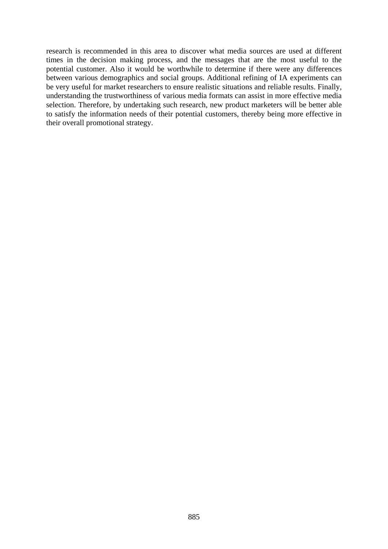research is recommended in this area to discover what media sources are used at different times in the decision making process, and the messages that are the most useful to the potential customer. Also it would be worthwhile to determine if there were any differences between various demographics and social groups. Additional refining of IA experiments can be very useful for market researchers to ensure realistic situations and reliable results. Finally, understanding the trustworthiness of various media formats can assist in more effective media selection. Therefore, by undertaking such research, new product marketers will be better able to satisfy the information needs of their potential customers, thereby being more effective in their overall promotional strategy.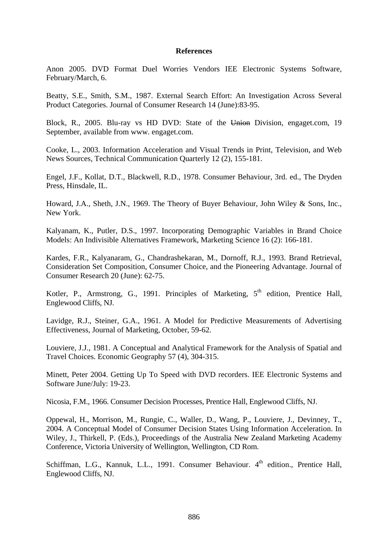#### **References**

Anon 2005. DVD Format Duel Worries Vendors IEE Electronic Systems Software, February/March, 6.

Beatty, S.E., Smith, S.M., 1987. External Search Effort: An Investigation Across Several Product Categories. Journal of Consumer Research 14 (June):83-95.

Block, R., 2005. Blu-ray vs HD DVD: State of the Union Division, engaget.com, 19 September, available from www. engaget.com.

Cooke, L., 2003. Information Acceleration and Visual Trends in Print, Television, and Web News Sources, Technical Communication Quarterly 12 (2), 155-181.

Engel, J.F., Kollat, D.T., Blackwell, R.D., 1978. Consumer Behaviour, 3rd. ed., The Dryden Press, Hinsdale, IL.

Howard, J.A., Sheth, J.N., 1969. The Theory of Buyer Behaviour, John Wiley & Sons, Inc., New York.

Kalyanam, K., Putler, D.S., 1997. Incorporating Demographic Variables in Brand Choice Models: An Indivisible Alternatives Framework, Marketing Science 16 (2): 166-181.

Kardes, F.R., Kalyanaram, G., Chandrashekaran, M., Dornoff, R.J., 1993. Brand Retrieval, Consideration Set Composition, Consumer Choice, and the Pioneering Advantage. Journal of Consumer Research 20 (June): 62-75.

Kotler, P., Armstrong, G., 1991. Principles of Marketing,  $5<sup>th</sup>$  edition, Prentice Hall, Englewood Cliffs, NJ.

Lavidge, R.J., Steiner, G.A., 1961. A Model for Predictive Measurements of Advertising Effectiveness, Journal of Marketing, October, 59-62.

Louviere, J.J., 1981. A Conceptual and Analytical Framework for the Analysis of Spatial and Travel Choices. Economic Geography 57 (4), 304-315.

Minett, Peter 2004. Getting Up To Speed with DVD recorders. IEE Electronic Systems and Software June/July: 19-23.

Nicosia, F.M., 1966. Consumer Decision Processes, Prentice Hall, Englewood Cliffs, NJ.

Oppewal, H., Morrison, M., Rungie, C., Waller, D., Wang, P., Louviere, J., Devinney, T., 2004. A Conceptual Model of Consumer Decision States Using Information Acceleration. In Wiley, J., Thirkell, P. (Eds.), Proceedings of the Australia New Zealand Marketing Academy Conference, Victoria University of Wellington, Wellington, CD Rom.

Schiffman, L.G., Kannuk, L.L., 1991. Consumer Behaviour.  $4<sup>th</sup>$  edition., Prentice Hall. Englewood Cliffs, NJ.